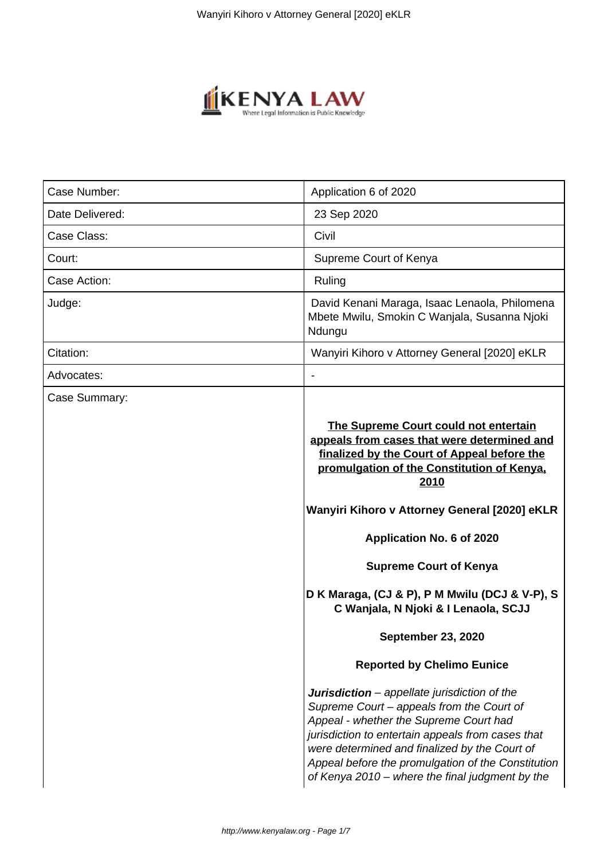

| Case Number:    | Application 6 of 2020                                                                                                                                                                                                                                                                                                                                     |  |  |
|-----------------|-----------------------------------------------------------------------------------------------------------------------------------------------------------------------------------------------------------------------------------------------------------------------------------------------------------------------------------------------------------|--|--|
| Date Delivered: | 23 Sep 2020                                                                                                                                                                                                                                                                                                                                               |  |  |
| Case Class:     | Civil                                                                                                                                                                                                                                                                                                                                                     |  |  |
| Court:          | Supreme Court of Kenya                                                                                                                                                                                                                                                                                                                                    |  |  |
| Case Action:    | Ruling                                                                                                                                                                                                                                                                                                                                                    |  |  |
| Judge:          | David Kenani Maraga, Isaac Lenaola, Philomena<br>Mbete Mwilu, Smokin C Wanjala, Susanna Njoki<br>Ndungu                                                                                                                                                                                                                                                   |  |  |
| Citation:       | Wanyiri Kihoro v Attorney General [2020] eKLR                                                                                                                                                                                                                                                                                                             |  |  |
| Advocates:      | $\overline{\phantom{0}}$                                                                                                                                                                                                                                                                                                                                  |  |  |
| Case Summary:   | The Supreme Court could not entertain<br>appeals from cases that were determined and<br>finalized by the Court of Appeal before the<br>promulgation of the Constitution of Kenya.<br>2010                                                                                                                                                                 |  |  |
|                 | Wanyiri Kihoro v Attorney General [2020] eKLR                                                                                                                                                                                                                                                                                                             |  |  |
|                 | Application No. 6 of 2020                                                                                                                                                                                                                                                                                                                                 |  |  |
|                 | <b>Supreme Court of Kenya</b><br>D K Maraga, (CJ & P), P M Mwilu (DCJ & V-P), S<br>C Wanjala, N Njoki & I Lenaola, SCJJ<br><b>September 23, 2020</b><br><b>Reported by Chelimo Eunice</b>                                                                                                                                                                 |  |  |
|                 |                                                                                                                                                                                                                                                                                                                                                           |  |  |
|                 |                                                                                                                                                                                                                                                                                                                                                           |  |  |
|                 |                                                                                                                                                                                                                                                                                                                                                           |  |  |
|                 | <b>Jurisdiction</b> – appellate jurisdiction of the<br>Supreme Court – appeals from the Court of<br>Appeal - whether the Supreme Court had<br>jurisdiction to entertain appeals from cases that<br>were determined and finalized by the Court of<br>Appeal before the promulgation of the Constitution<br>of Kenya 2010 – where the final judgment by the |  |  |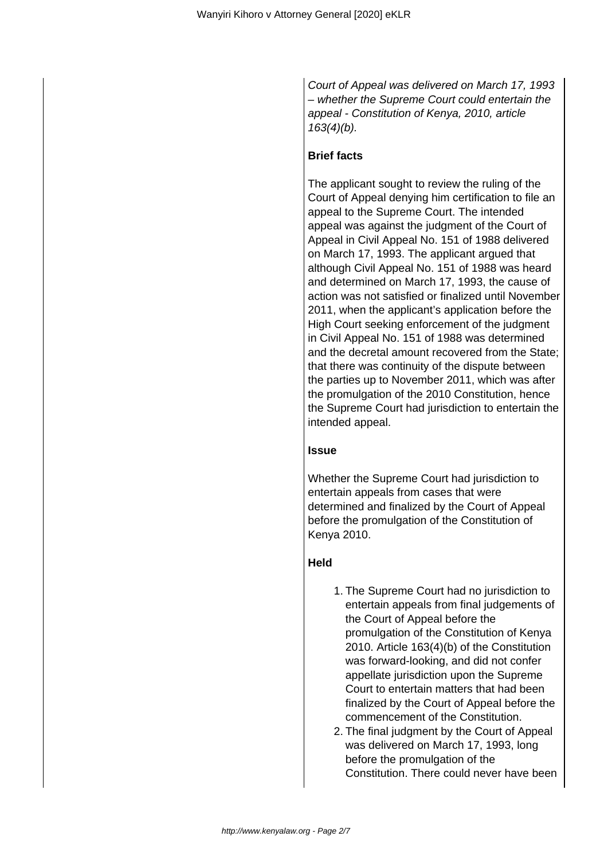Court of Appeal was delivered on March 17, 1993 – whether the Supreme Court could entertain the appeal - Constitution of Kenya, 2010, article  $163(4)(b)$ .

# **Brief facts**

The applicant sought to review the ruling of the Court of Appeal denying him certification to file an appeal to the Supreme Court. The intended appeal was against the judgment of the Court of Appeal in Civil Appeal No. 151 of 1988 delivered on March 17, 1993. The applicant argued that although Civil Appeal No. 151 of 1988 was heard and determined on March 17, 1993, the cause of action was not satisfied or finalized until November 2011, when the applicant's application before the High Court seeking enforcement of the judgment in Civil Appeal No. 151 of 1988 was determined and the decretal amount recovered from the State; that there was continuity of the dispute between the parties up to November 2011, which was after the promulgation of the 2010 Constitution, hence the Supreme Court had jurisdiction to entertain the intended appeal.

# **Issue**

Whether the Supreme Court had jurisdiction to entertain appeals from cases that were determined and finalized by the Court of Appeal before the promulgation of the Constitution of Kenya 2010.

# **Held**

- 1. The Supreme Court had no jurisdiction to entertain appeals from final judgements of the Court of Appeal before the promulgation of the Constitution of Kenya 2010. Article 163(4)(b) of the Constitution was forward-looking, and did not confer appellate jurisdiction upon the Supreme Court to entertain matters that had been finalized by the Court of Appeal before the commencement of the Constitution.
- 2. The final judgment by the Court of Appeal was delivered on March 17, 1993, long before the promulgation of the Constitution. There could never have been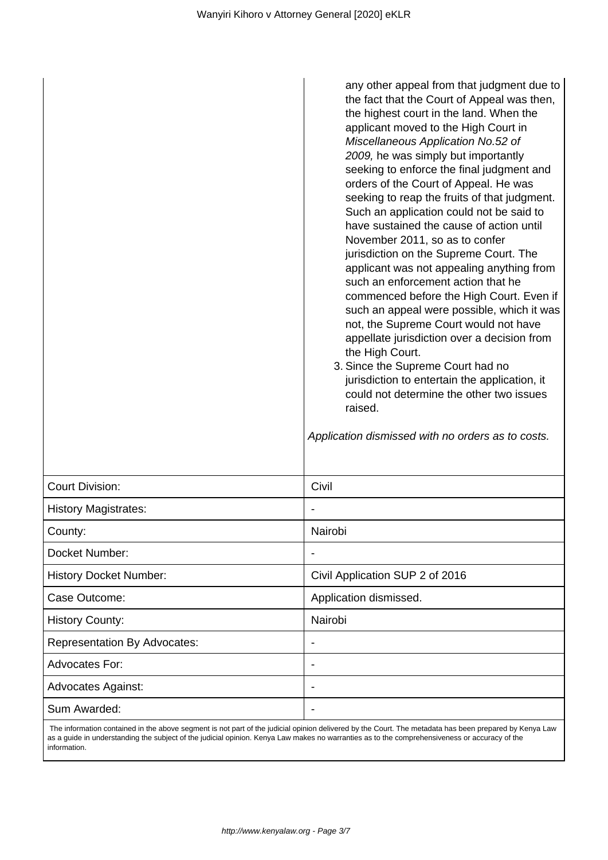|                                     | any other appeal from that judgment due to<br>the fact that the Court of Appeal was then,<br>the highest court in the land. When the<br>applicant moved to the High Court in<br>Miscellaneous Application No.52 of<br>2009, he was simply but importantly<br>seeking to enforce the final judgment and<br>orders of the Court of Appeal. He was<br>seeking to reap the fruits of that judgment.<br>Such an application could not be said to<br>have sustained the cause of action until<br>November 2011, so as to confer<br>jurisdiction on the Supreme Court. The<br>applicant was not appealing anything from<br>such an enforcement action that he<br>commenced before the High Court. Even if<br>such an appeal were possible, which it was<br>not, the Supreme Court would not have<br>appellate jurisdiction over a decision from<br>the High Court.<br>3. Since the Supreme Court had no<br>jurisdiction to entertain the application, it<br>could not determine the other two issues<br>raised.<br>Application dismissed with no orders as to costs. |  |
|-------------------------------------|---------------------------------------------------------------------------------------------------------------------------------------------------------------------------------------------------------------------------------------------------------------------------------------------------------------------------------------------------------------------------------------------------------------------------------------------------------------------------------------------------------------------------------------------------------------------------------------------------------------------------------------------------------------------------------------------------------------------------------------------------------------------------------------------------------------------------------------------------------------------------------------------------------------------------------------------------------------------------------------------------------------------------------------------------------------|--|
| <b>Court Division:</b>              | Civil                                                                                                                                                                                                                                                                                                                                                                                                                                                                                                                                                                                                                                                                                                                                                                                                                                                                                                                                                                                                                                                         |  |
| <b>History Magistrates:</b>         |                                                                                                                                                                                                                                                                                                                                                                                                                                                                                                                                                                                                                                                                                                                                                                                                                                                                                                                                                                                                                                                               |  |
| County:                             | Nairobi                                                                                                                                                                                                                                                                                                                                                                                                                                                                                                                                                                                                                                                                                                                                                                                                                                                                                                                                                                                                                                                       |  |
| Docket Number:                      |                                                                                                                                                                                                                                                                                                                                                                                                                                                                                                                                                                                                                                                                                                                                                                                                                                                                                                                                                                                                                                                               |  |
| <b>History Docket Number:</b>       | Civil Application SUP 2 of 2016                                                                                                                                                                                                                                                                                                                                                                                                                                                                                                                                                                                                                                                                                                                                                                                                                                                                                                                                                                                                                               |  |
| Case Outcome:                       | Application dismissed.                                                                                                                                                                                                                                                                                                                                                                                                                                                                                                                                                                                                                                                                                                                                                                                                                                                                                                                                                                                                                                        |  |
| <b>History County:</b>              | Nairobi                                                                                                                                                                                                                                                                                                                                                                                                                                                                                                                                                                                                                                                                                                                                                                                                                                                                                                                                                                                                                                                       |  |
| <b>Representation By Advocates:</b> |                                                                                                                                                                                                                                                                                                                                                                                                                                                                                                                                                                                                                                                                                                                                                                                                                                                                                                                                                                                                                                                               |  |
| Advocates For:                      |                                                                                                                                                                                                                                                                                                                                                                                                                                                                                                                                                                                                                                                                                                                                                                                                                                                                                                                                                                                                                                                               |  |
| <b>Advocates Against:</b>           |                                                                                                                                                                                                                                                                                                                                                                                                                                                                                                                                                                                                                                                                                                                                                                                                                                                                                                                                                                                                                                                               |  |
| Sum Awarded:                        |                                                                                                                                                                                                                                                                                                                                                                                                                                                                                                                                                                                                                                                                                                                                                                                                                                                                                                                                                                                                                                                               |  |

 The information contained in the above segment is not part of the judicial opinion delivered by the Court. The metadata has been prepared by Kenya Law as a guide in understanding the subject of the judicial opinion. Kenya Law makes no warranties as to the comprehensiveness or accuracy of the information.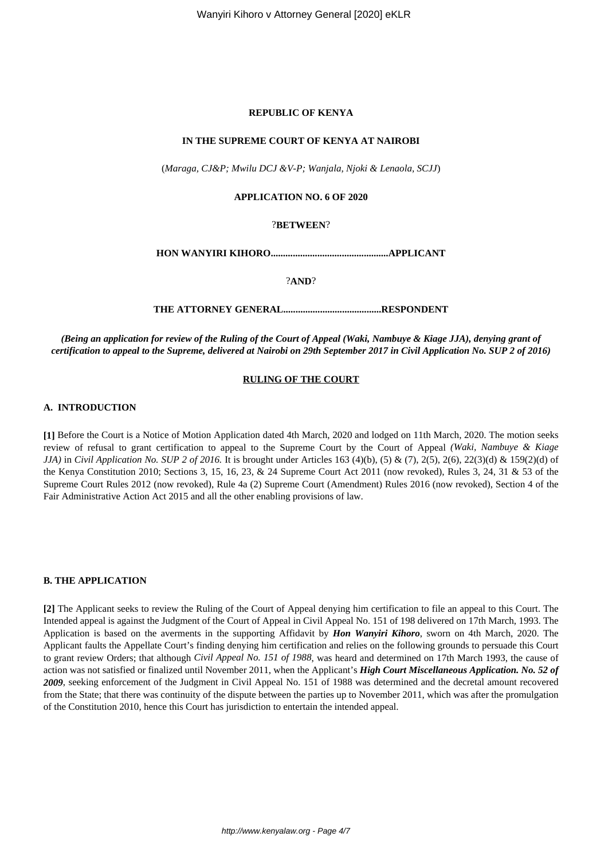#### **REPUBLIC OF KENYA**

#### **IN THE SUPREME COURT OF KENYA AT NAIROBI**

(*Maraga, CJ&P; Mwilu DCJ &V-P; Wanjala, Njoki & Lenaola, SCJJ*)

## **APPLICATION NO. 6 OF 2020**

## ?**BETWEEN**?

**HON WANYIRI KIHORO................................................APPLICANT**

?**AND**?

**THE ATTORNEY GENERAL........................................RESPONDENT**

*(Being an application for review of the Ruling of the Court of Appeal (Waki, Nambuye & Kiage JJA), denying grant of certification to appeal to the Supreme, delivered at Nairobi on 29th September 2017 in Civil Application No. SUP 2 of 2016)*

#### **RULING OF THE COURT**

## **A. INTRODUCTION**

**[1]** Before the Court is a Notice of Motion Application dated 4th March, 2020 and lodged on 11th March, 2020. The motion seeks review of refusal to grant certification to appeal to the Supreme Court by the Court of Appeal *(Waki, Nambuye & Kiage JJA*) in *Civil Application No. SUP 2 of 2016*. It is brought under Articles 163 (4)(b), (5) & (7), 2(5), 2(6), 22(3)(d) & 159(2)(d) of the Kenya Constitution 2010; Sections 3, 15, 16, 23, & 24 Supreme Court Act 2011 (now revoked), Rules 3, 24, 31 & 53 of the Supreme Court Rules 2012 (now revoked), Rule 4a (2) Supreme Court (Amendment) Rules 2016 (now revoked), Section 4 of the Fair Administrative Action Act 2015 and all the other enabling provisions of law.

#### **B. THE APPLICATION**

**[2]** The Applicant seeks to review the Ruling of the Court of Appeal denying him certification to file an appeal to this Court. The Intended appeal is against the Judgment of the Court of Appeal in Civil Appeal No. 151 of 198 delivered on 17th March, 1993. The Application is based on the averments in the supporting Affidavit by *Hon Wanyiri Kihoro*, sworn on 4th March, 2020. The Applicant faults the Appellate Court's finding denying him certification and relies on the following grounds to persuade this Court to grant review Orders; that although *Civil Appeal No. 151 of 1988*, was heard and determined on 17th March 1993, the cause of action was not satisfied or finalized until November 2011, when the Applicant's *High Court Miscellaneous Application. No. 52 of 2009*, seeking enforcement of the Judgment in Civil Appeal No. 151 of 1988 was determined and the decretal amount recovered from the State; that there was continuity of the dispute between the parties up to November 2011, which was after the promulgation of the Constitution 2010, hence this Court has jurisdiction to entertain the intended appeal.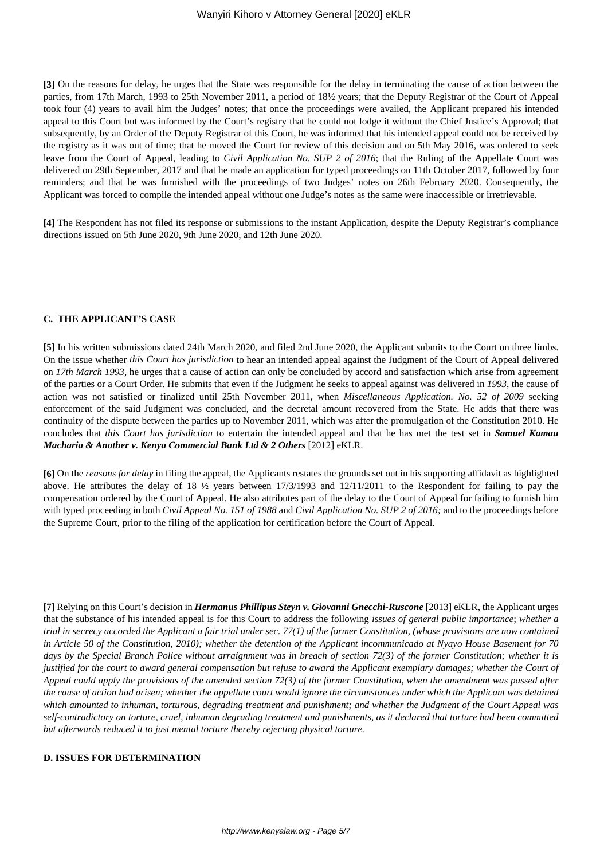**[3]** On the reasons for delay, he urges that the State was responsible for the delay in terminating the cause of action between the parties, from 17th March, 1993 to 25th November 2011, a period of 18½ years; that the Deputy Registrar of the Court of Appeal took four (4) years to avail him the Judges' notes; that once the proceedings were availed, the Applicant prepared his intended appeal to this Court but was informed by the Court's registry that he could not lodge it without the Chief Justice's Approval; that subsequently, by an Order of the Deputy Registrar of this Court, he was informed that his intended appeal could not be received by the registry as it was out of time; that he moved the Court for review of this decision and on 5th May 2016, was ordered to seek leave from the Court of Appeal, leading to *Civil Application No. SUP 2 of 2016*; that the Ruling of the Appellate Court was delivered on 29th September, 2017 and that he made an application for typed proceedings on 11th October 2017, followed by four reminders; and that he was furnished with the proceedings of two Judges' notes on 26th February 2020. Consequently, the Applicant was forced to compile the intended appeal without one Judge's notes as the same were inaccessible or irretrievable.

**[4]** The Respondent has not filed its response or submissions to the instant Application, despite the Deputy Registrar's compliance directions issued on 5th June 2020, 9th June 2020, and 12th June 2020.

#### **C. THE APPLICANT'S CASE**

**[5]** In his written submissions dated 24th March 2020, and filed 2nd June 2020, the Applicant submits to the Court on three limbs. On the issue whether *this Court has jurisdiction* to hear an intended appeal against the Judgment of the Court of Appeal delivered on *17th March 1993*, he urges that a cause of action can only be concluded by accord and satisfaction which arise from agreement of the parties or a Court Order. He submits that even if the Judgment he seeks to appeal against was delivered in *1993*, the cause of action was not satisfied or finalized until 25th November 2011, when *Miscellaneous Application. No. 52 of 2009* seeking enforcement of the said Judgment was concluded, and the decretal amount recovered from the State. He adds that there was continuity of the dispute between the parties up to November 2011, which was after the promulgation of the Constitution 2010. He concludes that *this Court has jurisdiction* to entertain the intended appeal and that he has met the test set in *Samuel Kamau Macharia* & Another v. Kenya Commercial Bank Ltd & 2 Others [2012] eKLR.

**[6]** On the *reasons for delay* in filing the appeal, the Applicants restates the grounds set out in his supporting affidavit as highlighted above. He attributes the delay of 18  $\frac{1}{2}$  years between 17/3/1993 and 12/11/2011 to the Respondent for failing to pay the compensation ordered by the Court of Appeal. He also attributes part of the delay to the Court of Appeal for failing to furnish him with typed proceeding in both *Civil Appeal No. 151 of 1988* and *Civil Application No. SUP 2 of 2016;* and to the proceedings before the Supreme Court, prior to the filing of the application for certification before the Court of Appeal.

**[7]** Relying on this Court's decision in *Hermanus Phillipus Steyn v. Giovanni Gnecchi-Ruscone* [2013] eKLR, the Applicant urges that the substance of his intended appeal is for this Court to address the following *issues of general public importance*; *whether a trial in secrecy accorded the Applicant a fair trial under sec. 77(1) of the former Constitution, (whose provisions are now contained in Article 50 of the Constitution, 2010); whether the detention of the Applicant incommunicado at Nyayo House Basement for 70 days by the Special Branch Police without arraignment was in breach of section 72(3) of the former Constitution; whether it is justified for the court to award general compensation but refuse to award the Applicant exemplary damages; whether the Court of Appeal could apply the provisions of the amended section 72(3) of the former Constitution, when the amendment was passed after the cause of action had arisen; whether the appellate court would ignore the circumstances under which the Applicant was detained which amounted to inhuman, torturous, degrading treatment and punishment; and whether the Judgment of the Court Appeal was self-contradictory on torture, cruel, inhuman degrading treatment and punishments, as it declared that torture had been committed but afterwards reduced it to just mental torture thereby rejecting physical torture.*

#### **D. ISSUES FOR DETERMINATION**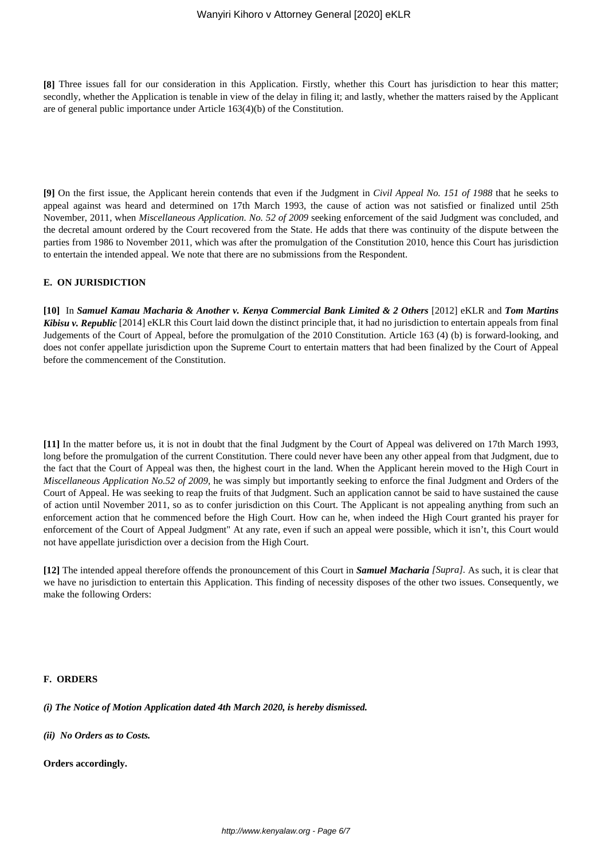**[8]** Three issues fall for our consideration in this Application. Firstly, whether this Court has jurisdiction to hear this matter; secondly, whether the Application is tenable in view of the delay in filing it; and lastly, whether the matters raised by the Applicant are of general public importance under Article 163(4)(b) of the Constitution.

**[9]** On the first issue, the Applicant herein contends that even if the Judgment in *Civil Appeal No. 151 of 1988* that he seeks to appeal against was heard and determined on 17th March 1993, the cause of action was not satisfied or finalized until 25th November, 2011, when *Miscellaneous Application. No. 52 of 2009* seeking enforcement of the said Judgment was concluded, and the decretal amount ordered by the Court recovered from the State. He adds that there was continuity of the dispute between the parties from 1986 to November 2011, which was after the promulgation of the Constitution 2010, hence this Court has jurisdiction to entertain the intended appeal. We note that there are no submissions from the Respondent.

## **E. ON JURISDICTION**

**[10]** In *Samuel Kamau Macharia & Another v. Kenya Commercial Bank Limited & 2 Others* [2012] eKLR and *Tom Martins Kibisu v. Republic* [2014] eKLR this Court laid down the distinct principle that, it had no jurisdiction to entertain appeals from final Judgements of the Court of Appeal, before the promulgation of the 2010 Constitution. Article 163 (4) (b) is forward-looking, and does not confer appellate jurisdiction upon the Supreme Court to entertain matters that had been finalized by the Court of Appeal before the commencement of the Constitution.

**[11]** In the matter before us, it is not in doubt that the final Judgment by the Court of Appeal was delivered on 17th March 1993, long before the promulgation of the current Constitution. There could never have been any other appeal from that Judgment, due to the fact that the Court of Appeal was then, the highest court in the land. When the Applicant herein moved to the High Court in *Miscellaneous Application No.52 of 2009,* he was simply but importantly seeking to enforce the final Judgment and Orders of the Court of Appeal. He was seeking to reap the fruits of that Judgment. Such an application cannot be said to have sustained the cause of action until November 2011, so as to confer jurisdiction on this Court. The Applicant is not appealing anything from such an enforcement action that he commenced before the High Court. How can he, when indeed the High Court granted his prayer for enforcement of the Court of Appeal Judgment" At any rate, even if such an appeal were possible, which it isn't, this Court would not have appellate jurisdiction over a decision from the High Court.

**[12]** The intended appeal therefore offends the pronouncement of this Court in *Samuel Macharia [Supra].* As such, it is clear that we have no jurisdiction to entertain this Application. This finding of necessity disposes of the other two issues. Consequently, we make the following Orders:

#### **F. ORDERS**

*(i) The Notice of Motion Application dated 4th March 2020, is hereby dismissed.*

*(ii) No Orders as to Costs.*

**Orders accordingly.**